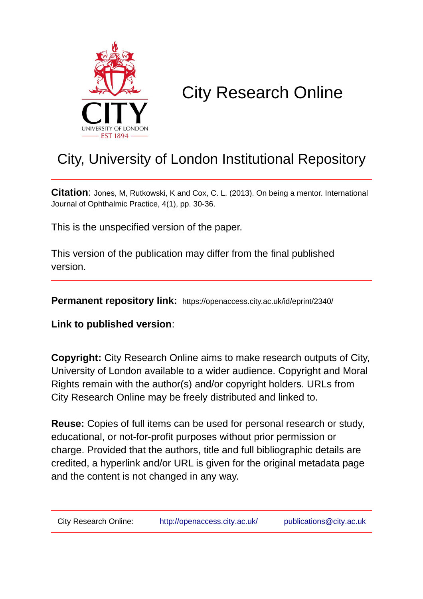

# City Research Online

# City, University of London Institutional Repository

**Citation**: Jones, M, Rutkowski, K and Cox, C. L. (2013). On being a mentor. International Journal of Ophthalmic Practice, 4(1), pp. 30-36.

This is the unspecified version of the paper.

This version of the publication may differ from the final published version.

**Permanent repository link:** https://openaccess.city.ac.uk/id/eprint/2340/

**Link to published version**:

**Copyright:** City Research Online aims to make research outputs of City, University of London available to a wider audience. Copyright and Moral Rights remain with the author(s) and/or copyright holders. URLs from City Research Online may be freely distributed and linked to.

**Reuse:** Copies of full items can be used for personal research or study, educational, or not-for-profit purposes without prior permission or charge. Provided that the authors, title and full bibliographic details are credited, a hyperlink and/or URL is given for the original metadata page and the content is not changed in any way.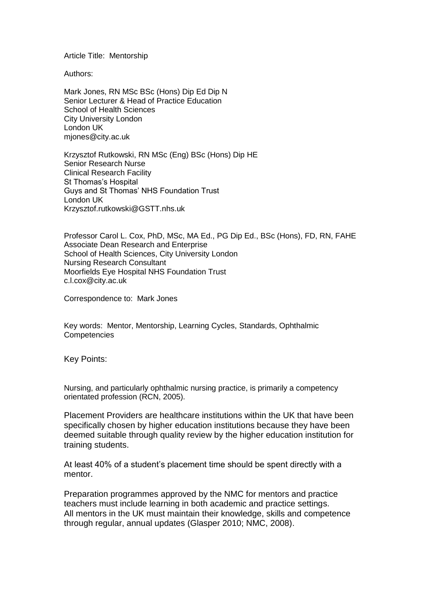Article Title: Mentorship

Authors:

Mark Jones, RN MSc BSc (Hons) Dip Ed Dip N Senior Lecturer & Head of Practice Education School of Health Sciences City University London London UK mjones@city.ac.uk

Krzysztof Rutkowski, RN MSc (Eng) BSc (Hons) Dip HE Senior Research Nurse Clinical Research Facility St Thomas's Hospital Guys and St Thomas' NHS Foundation Trust London UK [Krzysztof.rutkowski@GSTT.nhs.uk](mailto:Krzysztof.rutkowski@GSTT.nhs.uk)

Professor Carol L. Cox, PhD, MSc, MA Ed., PG Dip Ed., BSc (Hons), FD, RN, FAHE Associate Dean Research and Enterprise School of Health Sciences, City University London Nursing Research Consultant Moorfields Eye Hospital NHS Foundation Trust [c.l.cox@city.ac.uk](mailto:c.l.cox@city.ac.uk)

Correspondence to: Mark Jones

Key words: Mentor, Mentorship, Learning Cycles, Standards, Ophthalmic **Competencies** 

Key Points:

Nursing, and particularly ophthalmic nursing practice, is primarily a competency orientated profession (RCN, 2005).

Placement Providers are healthcare institutions within the UK that have been specifically chosen by higher education institutions because they have been deemed suitable through quality review by the higher education institution for training students.

At least 40% of a student's placement time should be spent directly with a mentor.

Preparation programmes approved by the NMC for mentors and practice teachers must include learning in both academic and practice settings. All mentors in the UK must maintain their knowledge, skills and competence through regular, annual updates (Glasper 2010; NMC, 2008).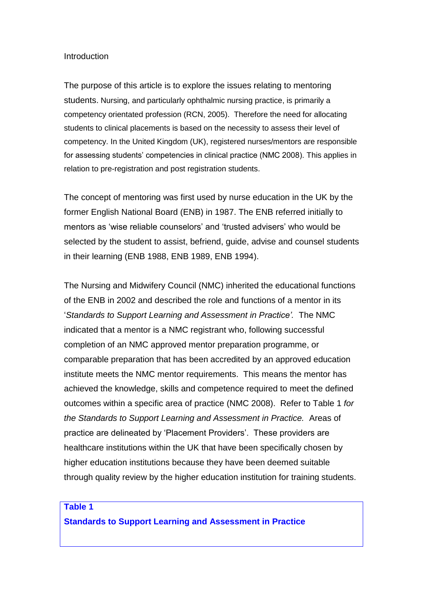#### **Introduction**

The purpose of this article is to explore the issues relating to mentoring students. Nursing, and particularly ophthalmic nursing practice, is primarily a competency orientated profession (RCN, 2005). Therefore the need for allocating students to clinical placements is based on the necessity to assess their level of competency. In the United Kingdom (UK), registered nurses/mentors are responsible for assessing students' competencies in clinical practice (NMC 2008). This applies in relation to pre-registration and post registration students.

The concept of mentoring was first used by nurse education in the UK by the former English National Board (ENB) in 1987. The ENB referred initially to mentors as 'wise reliable counselors' and 'trusted advisers' who would be selected by the student to assist, befriend, guide, advise and counsel students in their learning (ENB 1988, ENB 1989, ENB 1994).

The Nursing and Midwifery Council (NMC) inherited the educational functions of the ENB in 2002 and described the role and functions of a mentor in its '*Standards to Support Learning and Assessment in Practice'.* The NMC indicated that a mentor is a NMC registrant who, following successful completion of an NMC approved mentor preparation programme, or comparable preparation that has been accredited by an approved education institute meets the NMC mentor requirements. This means the mentor has achieved the knowledge, skills and competence required to meet the defined outcomes within a specific area of practice (NMC 2008). Refer to Table 1 *for the Standards to Support Learning and Assessment in Practice.* Areas of practice are delineated by 'Placement Providers'. These providers are healthcare institutions within the UK that have been specifically chosen by higher education institutions because they have been deemed suitable through quality review by the higher education institution for training students.

#### **Table 1**

**Standards to Support Learning and Assessment in Practice**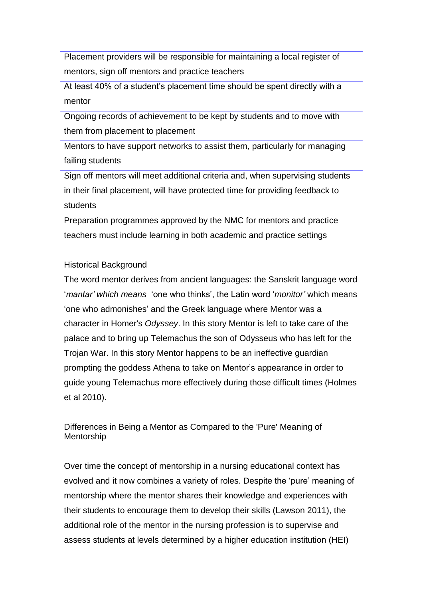Placement providers will be responsible for maintaining a local register of mentors, sign off mentors and practice teachers

At least 40% of a student's placement time should be spent directly with a mentor

Ongoing records of achievement to be kept by students and to move with them from placement to placement

Mentors to have support networks to assist them, particularly for managing failing students

Sign off mentors will meet additional criteria and, when supervising students in their final placement, will have protected time for providing feedback to students

Preparation programmes approved by the NMC for mentors and practice teachers must include learning in both academic and practice settings

# Historical Background

The word mentor derives from ancient languages: the Sanskrit language word '*mantar' which means* 'one who thinks', the Latin word '*monitor'* which means 'one who admonishes' and the Greek language where Mentor was a character in Homer's *Odyssey*. In this story Mentor is left to take care of the palace and to bring up Telemachus the son of Odysseus who has left for the Trojan War. In this story Mentor happens to be an ineffective guardian prompting the goddess Athena to take on Mentor's appearance in order to guide young Telemachus more effectively during those difficult times (Holmes et al 2010).

Differences in Being a Mentor as Compared to the 'Pure' Meaning of Mentorship

Over time the concept of mentorship in a nursing educational context has evolved and it now combines a variety of roles. Despite the 'pure' meaning of mentorship where the mentor shares their knowledge and experiences with their students to encourage them to develop their skills (Lawson 2011), the additional role of the mentor in the nursing profession is to supervise and assess students at levels determined by a higher education institution (HEI)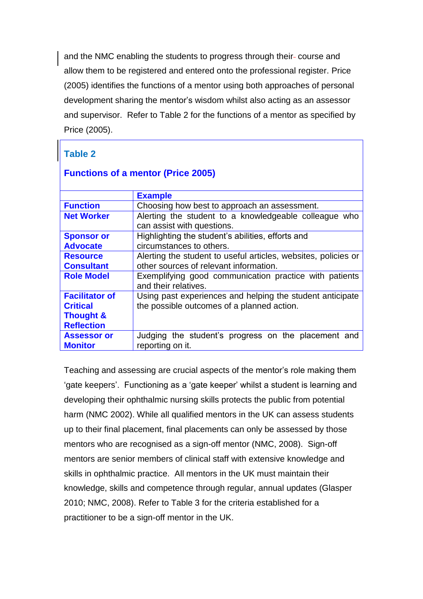and the NMC enabling the students to progress through their-course and allow them to be registered and entered onto the professional register. Price (2005) identifies the functions of a mentor using both approaches of personal development sharing the mentor's wisdom whilst also acting as an assessor and supervisor. Refer to Table 2 for the functions of a mentor as specified by Price (2005).

# **Table 2**

| <b>Functions of a mentor (Price 2005)</b> |  |  |
|-------------------------------------------|--|--|
|                                           |  |  |

|                       | <b>Example</b>                                                 |
|-----------------------|----------------------------------------------------------------|
| <b>Function</b>       | Choosing how best to approach an assessment.                   |
| <b>Net Worker</b>     | Alerting the student to a knowledgeable colleague who          |
|                       | can assist with questions.                                     |
| <b>Sponsor or</b>     | Highlighting the student's abilities, efforts and              |
| <b>Advocate</b>       | circumstances to others.                                       |
| <b>Resource</b>       | Alerting the student to useful articles, websites, policies or |
| <b>Consultant</b>     | other sources of relevant information.                         |
| <b>Role Model</b>     | Exemplifying good communication practice with patients         |
|                       | and their relatives.                                           |
| <b>Facilitator of</b> | Using past experiences and helping the student anticipate      |
| <b>Critical</b>       | the possible outcomes of a planned action.                     |
| <b>Thought &amp;</b>  |                                                                |
| <b>Reflection</b>     |                                                                |
| <b>Assessor or</b>    | Judging the student's progress on the placement and            |
| <b>Monitor</b>        | reporting on it.                                               |

Teaching and assessing are crucial aspects of the mentor's role making them 'gate keepers'. Functioning as a 'gate keeper' whilst a student is learning and developing their ophthalmic nursing skills protects the public from potential harm (NMC 2002). While all qualified mentors in the UK can assess students up to their final placement, final placements can only be assessed by those mentors who are recognised as a sign-off mentor (NMC, 2008). Sign-off mentors are senior members of clinical staff with extensive knowledge and skills in ophthalmic practice. All mentors in the UK must maintain their knowledge, skills and competence through regular, annual updates (Glasper 2010; NMC, 2008). Refer to Table 3 for the criteria established for a practitioner to be a sign-off mentor in the UK.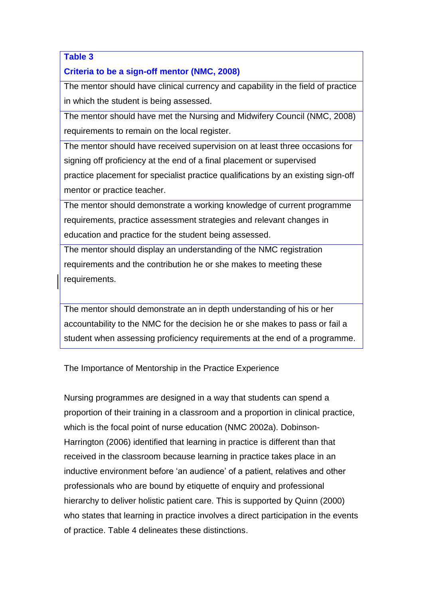# **Table 3**

# **Criteria to be a sign-off mentor (NMC, 2008)**

The mentor should have clinical currency and capability in the field of practice in which the student is being assessed.

The mentor should have met the Nursing and Midwifery Council (NMC, 2008) requirements to remain on the local register.

The mentor should have received supervision on at least three occasions for signing off proficiency at the end of a final placement or supervised practice placement for specialist practice qualifications by an existing sign-off mentor or practice teacher.

The mentor should demonstrate a working knowledge of current programme requirements, practice assessment strategies and relevant changes in education and practice for the student being assessed.

The mentor should display an understanding of the NMC registration requirements and the contribution he or she makes to meeting these requirements.

The mentor should demonstrate an in depth understanding of his or her accountability to the NMC for the decision he or she makes to pass or fail a student when assessing proficiency requirements at the end of a programme.

The Importance of Mentorship in the Practice Experience

Nursing programmes are designed in a way that students can spend a proportion of their training in a classroom and a proportion in clinical practice, which is the focal point of nurse education (NMC 2002a). Dobinson-Harrington (2006) identified that learning in practice is different than that received in the classroom because learning in practice takes place in an inductive environment before 'an audience' of a patient, relatives and other professionals who are bound by etiquette of enquiry and professional hierarchy to deliver holistic patient care. This is supported by Quinn (2000) who states that learning in practice involves a direct participation in the events of practice. Table 4 delineates these distinctions.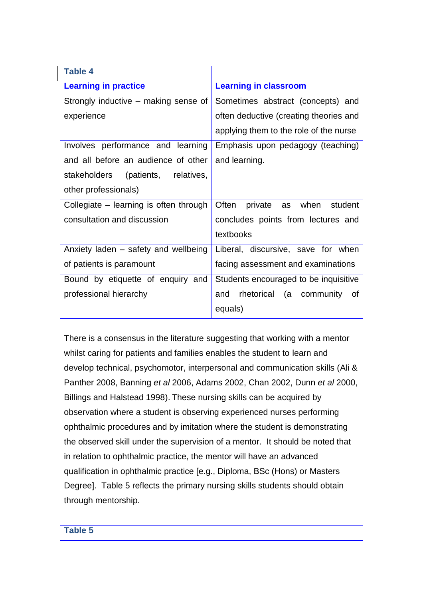| <b>Table 4</b>                         |                                        |
|----------------------------------------|----------------------------------------|
| <b>Learning in practice</b>            | <b>Learning in classroom</b>           |
| Strongly inductive – making sense of   | Sometimes abstract (concepts) and      |
| experience                             | often deductive (creating theories and |
|                                        | applying them to the role of the nurse |
| Involves performance and learning      | Emphasis upon pedagogy (teaching)      |
| and all before an audience of other    | and learning.                          |
| stakeholders (patients, relatives,     |                                        |
| other professionals)                   |                                        |
| Collegiate – learning is often through | Often private as when<br>student       |
| consultation and discussion            | concludes points from lectures and     |
|                                        | textbooks                              |
| Anxiety laden – safety and wellbeing   | Liberal, discursive, save for when     |
| of patients is paramount               | facing assessment and examinations     |
| Bound by etiquette of enquiry and      | Students encouraged to be inquisitive  |
| professional hierarchy                 | rhetorical (a community of<br>and      |
|                                        | equals)                                |

There is a consensus in the literature suggesting that working with a mentor whilst caring for patients and families enables the student to learn and develop technical, psychomotor, interpersonal and communication skills (Ali & Panther 2008, Banning *et al* 2006, Adams 2002, Chan 2002, Dunn *et al* 2000, Billings and Halstead 1998). These nursing skills can be acquired by observation where a student is observing experienced nurses performing ophthalmic procedures and by imitation where the student is demonstrating the observed skill under the supervision of a mentor. It should be noted that in relation to ophthalmic practice, the mentor will have an advanced qualification in ophthalmic practice [e.g., Diploma, BSc (Hons) or Masters Degree]. Table 5 reflects the primary nursing skills students should obtain through mentorship.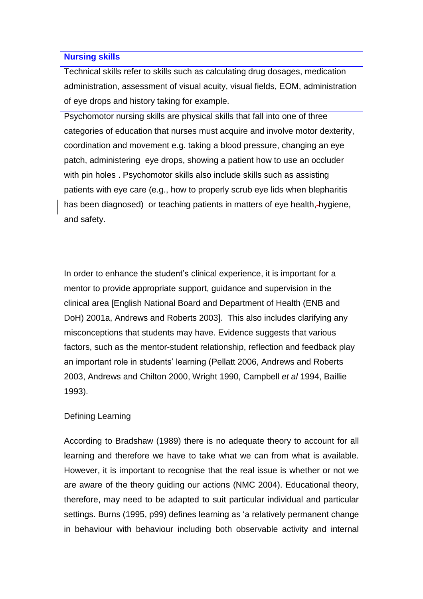#### **Nursing skills**

Technical skills refer to skills such as calculating drug dosages, medication administration, assessment of visual acuity, visual fields, EOM, administration of eye drops and history taking for example.

Psychomotor nursing skills are physical skills that fall into one of three categories of education that nurses must acquire and involve motor dexterity, coordination and movement e.g. taking a blood pressure, changing an eye patch, administering eye drops, showing a patient how to use an occluder with pin holes . Psychomotor skills also include skills such as assisting patients with eye care (e.g., how to properly scrub eye lids when blepharitis has been diagnosed) or teaching patients in matters of eye health,-hygiene, and safety.

In order to enhance the student's clinical experience, it is important for a mentor to provide appropriate support, guidance and supervision in the clinical area [English National Board and Department of Health (ENB and DoH) 2001a, Andrews and Roberts 2003]. This also includes clarifying any misconceptions that students may have. Evidence suggests that various factors, such as the mentor-student relationship, reflection and feedback play an important role in students' learning (Pellatt 2006, Andrews and Roberts 2003, Andrews and Chilton 2000, Wright 1990, Campbell *et al* 1994, Baillie 1993).

## Defining Learning

According to Bradshaw (1989) there is no adequate theory to account for all learning and therefore we have to take what we can from what is available. However, it is important to recognise that the real issue is whether or not we are aware of the theory guiding our actions (NMC 2004). Educational theory, therefore, may need to be adapted to suit particular individual and particular settings. Burns (1995, p99) defines learning as 'a relatively permanent change in behaviour with behaviour including both observable activity and internal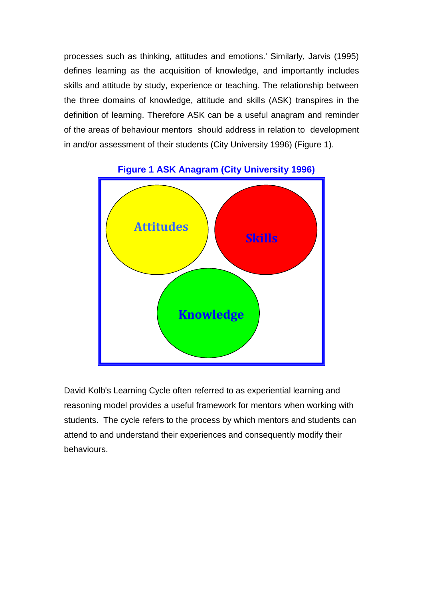processes such as thinking, attitudes and emotions.' Similarly, Jarvis (1995) defines learning as the acquisition of knowledge, and importantly includes skills and attitude by study, experience or teaching. The relationship between the three domains of knowledge, attitude and skills (ASK) transpires in the definition of learning. Therefore ASK can be a useful anagram and reminder of the areas of behaviour mentors should address in relation to development in and/or assessment of their students (City University 1996) (Figure 1).



# **Figure 1 ASK Anagram (City University 1996)**

David Kolb's Learning Cycle often referred to as experiential learning and reasoning model provides a useful framework for mentors when working with students. The cycle refers to the process by which mentors and students can attend to and understand their experiences and consequently modify their behaviours.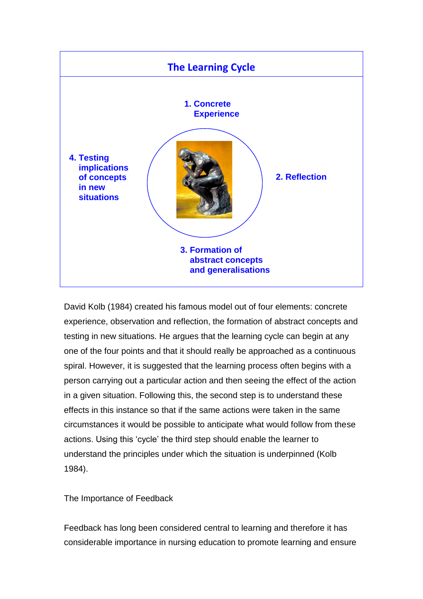

David Kolb (1984) created his famous model out of four elements: concrete experience, observation and reflection, the formation of abstract concepts and testing in new situations. He argues that the learning cycle can begin at any one of the four points and that it should really be approached as a continuous spiral. However, it is suggested that the learning process often begins with a person carrying out a particular action and then seeing the effect of the action in a given situation. Following this, the second step is to understand these effects in this instance so that if the same actions were taken in the same circumstances it would be possible to anticipate what would follow from these actions. Using this 'cycle' the third step should enable the learner to understand the principles under which the situation is underpinned (Kolb 1984).

The Importance of Feedback

Feedback has long been considered central to learning and therefore it has considerable importance in nursing education to promote learning and ensure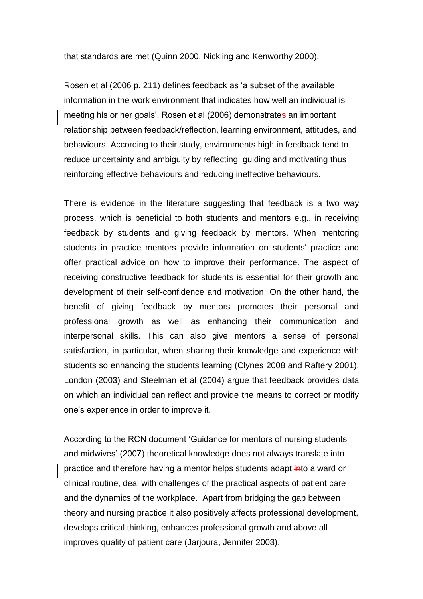that standards are met (Quinn 2000, Nickling and Kenworthy 2000).

Rosen et al (2006 p. 211) defines feedback as 'a subset of the available information in the work environment that indicates how well an individual is meeting his or her goals'. Rosen et al (2006) demonstrates an important relationship between feedback/reflection, learning environment, attitudes, and behaviours. According to their study, environments high in feedback tend to reduce uncertainty and ambiguity by reflecting, guiding and motivating thus reinforcing effective behaviours and reducing ineffective behaviours.

There is evidence in the literature suggesting that feedback is a two way process, which is beneficial to both students and mentors e.g., in receiving feedback by students and giving feedback by mentors. When mentoring students in practice mentors provide information on students' practice and offer practical advice on how to improve their performance. The aspect of receiving constructive feedback for students is essential for their growth and development of their self-confidence and motivation. On the other hand, the benefit of giving feedback by mentors promotes their personal and professional growth as well as enhancing their communication and interpersonal skills. This can also give mentors a sense of personal satisfaction, in particular, when sharing their knowledge and experience with students so enhancing the students learning (Clynes 2008 and Raftery 2001). London (2003) and Steelman et al (2004) argue that feedback provides data on which an individual can reflect and provide the means to correct or modify one's experience in order to improve it.

According to the RCN document 'Guidance for mentors of nursing students and midwives' (2007) theoretical knowledge does not always translate into practice and therefore having a mentor helps students adapt into a ward or clinical routine, deal with challenges of the practical aspects of patient care and the dynamics of the workplace. Apart from bridging the gap between theory and nursing practice it also positively affects professional development, develops critical thinking, enhances professional growth and above all improves quality of patient care (Jarjoura, Jennifer 2003).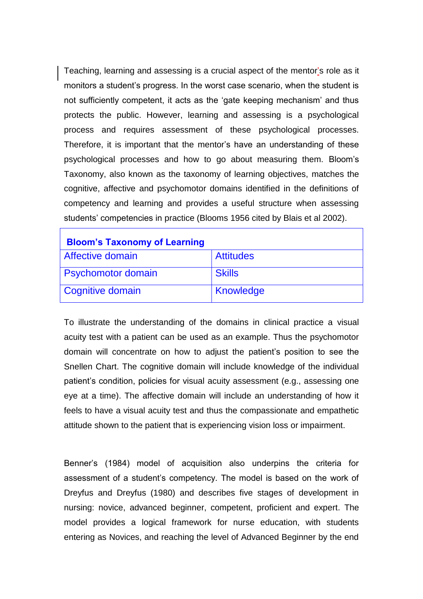Teaching, learning and assessing is a crucial aspect of the mentor's role as it monitors a student's progress. In the worst case scenario, when the student is not sufficiently competent, it acts as the 'gate keeping mechanism' and thus protects the public. However, learning and assessing is a psychological process and requires assessment of these psychological processes. Therefore, it is important that the mentor's have an understanding of these psychological processes and how to go about measuring them. Bloom's Taxonomy, also known as the taxonomy of learning objectives, matches the cognitive, affective and psychomotor domains identified in the definitions of competency and learning and provides a useful structure when assessing students' competencies in practice (Blooms 1956 cited by Blais et al 2002).

| <b>Bloom's Taxonomy of Learning</b> |                  |
|-------------------------------------|------------------|
| Affective domain                    | <b>Attitudes</b> |
| <b>Psychomotor domain</b>           | <b>Skills</b>    |
| Cognitive domain                    | <b>Knowledge</b> |

To illustrate the understanding of the domains in clinical practice a visual acuity test with a patient can be used as an example. Thus the psychomotor domain will concentrate on how to adjust the patient's position to see the Snellen Chart. The cognitive domain will include knowledge of the individual patient's condition, policies for visual acuity assessment (e.g., assessing one eye at a time). The affective domain will include an understanding of how it feels to have a visual acuity test and thus the compassionate and empathetic attitude shown to the patient that is experiencing vision loss or impairment.

Benner's (1984) model of acquisition also underpins the criteria for assessment of a student's competency. The model is based on the work of Dreyfus and Dreyfus (1980) and describes five stages of development in nursing: novice, advanced beginner, competent, proficient and expert. The model provides a logical framework for nurse education, with students entering as Novices, and reaching the level of Advanced Beginner by the end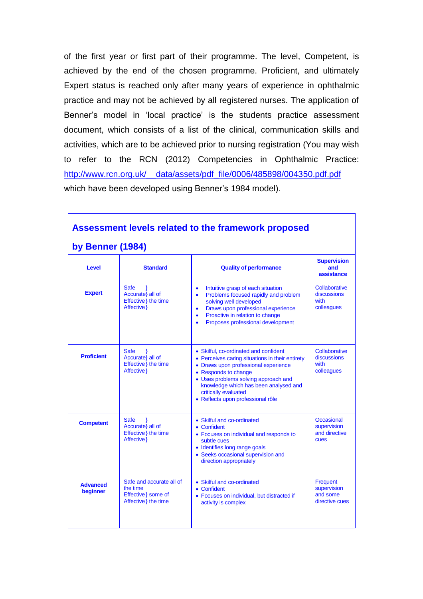of the first year or first part of their programme. The level, Competent, is achieved by the end of the chosen programme. Proficient, and ultimately Expert status is reached only after many years of experience in ophthalmic practice and may not be achieved by all registered nurses. The application of Benner's model in 'local practice' is the students practice assessment document, which consists of a list of the clinical, communication skills and activities, which are to be achieved prior to nursing registration (You may wish to refer to the RCN (2012) Competencies in Ophthalmic Practice: http://www.rcn.org.uk/ data/assets/pdf\_file/0006/485898/004350.pdf.pdf which have been developed using Benner's 1984 model).

| <b>Assessment levels related to the framework proposed</b><br>by Benner (1984) |                                                                                     |                                                                                                                                                                                                                                                                                                        |                                                       |
|--------------------------------------------------------------------------------|-------------------------------------------------------------------------------------|--------------------------------------------------------------------------------------------------------------------------------------------------------------------------------------------------------------------------------------------------------------------------------------------------------|-------------------------------------------------------|
| <b>Level</b>                                                                   | <b>Standard</b>                                                                     | <b>Quality of performance</b>                                                                                                                                                                                                                                                                          | <b>Supervision</b><br>and<br>assistance               |
| <b>Expert</b>                                                                  | <b>Safe</b><br>Accurate} all of<br>Effective } the time<br>Affective }              | Intuitive grasp of each situation<br>$\bullet$<br>Problems focused rapidly and problem<br>$\bullet$<br>solving well developed<br>Draws upon professional experience<br>$\bullet$<br>Proactive in relation to change<br>$\bullet$<br>Proposes professional development                                  | Collaborative<br>discussions<br>with<br>colleagues    |
| <b>Proficient</b>                                                              | <b>Safe</b><br>Accurate} all of<br>Effective } the time<br>Affective }              | • Skilful, co-ordinated and confident<br>• Perceives caring situations in their entirety<br>• Draws upon professional experience<br>• Responds to change<br>• Uses problems solving approach and<br>knowledge which has been analysed and<br>critically evaluated<br>· Reflects upon professional rôle | Collaborative<br>discussions<br>with<br>colleagues    |
| <b>Competent</b>                                                               | <b>Safe</b><br>Accurate} all of<br>Effective } the time<br>Affective }              | • Skilful and co-ordinated<br>• Confident<br>• Focuses on individual and responds to<br>subtle cues<br>• Identifies long range goals<br>• Seeks occasional supervision and<br>direction appropriately                                                                                                  | Occasional<br>supervision<br>and directive<br>cues    |
| <b>Advanced</b><br>beginner                                                    | Safe and accurate all of<br>the time<br>Effective } some of<br>Affective } the time | • Skilful and co-ordinated<br>• Confident<br>• Focuses on individual, but distracted if<br>activity is complex                                                                                                                                                                                         | Frequent<br>supervision<br>and some<br>directive cues |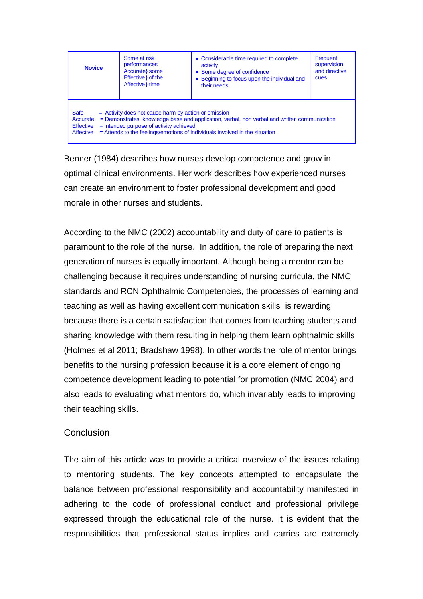| <b>Novice</b>                                                                                                                                                                                                                                                                                                                               | Some at risk<br>performances<br>Accurate} some<br>Effective } of the<br>Affective } time | • Considerable time required to complete<br>activity<br>• Some degree of confidence<br>• Beginning to focus upon the individual and<br>their needs | Frequent<br>supervision<br>and directive<br>cues |
|---------------------------------------------------------------------------------------------------------------------------------------------------------------------------------------------------------------------------------------------------------------------------------------------------------------------------------------------|------------------------------------------------------------------------------------------|----------------------------------------------------------------------------------------------------------------------------------------------------|--------------------------------------------------|
| <b>Safe</b><br>= Activity does not cause harm by action or omission<br>= Demonstrates knowledge base and application, verbal, non verbal and written communication<br>Accurate<br>$=$ Intended purpose of activity achieved<br><b>Effective</b><br>= Attends to the feelings/emotions of individuals involved in the situation<br>Affective |                                                                                          |                                                                                                                                                    |                                                  |

Benner (1984) describes how nurses develop competence and grow in optimal clinical environments. Her work describes how experienced nurses can create an environment to foster professional development and good morale in other nurses and students.

According to the NMC (2002) accountability and duty of care to patients is paramount to the role of the nurse. In addition, the role of preparing the next generation of nurses is equally important. Although being a mentor can be challenging because it requires understanding of nursing curricula, the NMC standards and RCN Ophthalmic Competencies, the processes of learning and teaching as well as having excellent communication skills is rewarding because there is a certain satisfaction that comes from teaching students and sharing knowledge with them resulting in helping them learn ophthalmic skills (Holmes et al 2011; Bradshaw 1998). In other words the role of mentor brings benefits to the nursing profession because it is a core element of ongoing competence development leading to potential for promotion (NMC 2004) and also leads to evaluating what mentors do, which invariably leads to improving their teaching skills.

## **Conclusion**

The aim of this article was to provide a critical overview of the issues relating to mentoring students. The key concepts attempted to encapsulate the balance between professional responsibility and accountability manifested in adhering to the code of professional conduct and professional privilege expressed through the educational role of the nurse. It is evident that the responsibilities that professional status implies and carries are extremely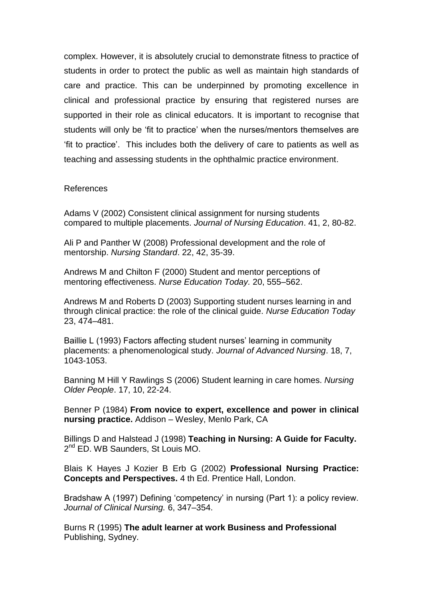complex. However, it is absolutely crucial to demonstrate fitness to practice of students in order to protect the public as well as maintain high standards of care and practice. This can be underpinned by promoting excellence in clinical and professional practice by ensuring that registered nurses are supported in their role as clinical educators. It is important to recognise that students will only be 'fit to practice' when the nurses/mentors themselves are 'fit to practice'. This includes both the delivery of care to patients as well as teaching and assessing students in the ophthalmic practice environment.

#### References

Adams V (2002) Consistent clinical assignment for nursing students compared to multiple placements. *Journal of Nursing Education*. 41, 2, 80-82.

Ali P and Panther W (2008) Professional development and the role of mentorship. *Nursing Standard*. 22, 42, 35-39.

Andrews M and Chilton F (2000) Student and mentor perceptions of mentoring effectiveness. *Nurse Education Today.* 20, 555–562.

Andrews M and Roberts D (2003) Supporting student nurses learning in and through clinical practice: the role of the clinical guide. *Nurse Education Today* 23, 474–481.

Baillie L (1993) Factors affecting student nurses' learning in community placements: a phenomenological study. *Journal of Advanced Nursing*. 18, 7, 1043-1053.

Banning M Hill Y Rawlings S (2006) Student learning in care homes. *Nursing Older People*. 17, 10, 22-24.

Benner P (1984) **From novice to expert, excellence and power in clinical nursing practice.** Addison – Wesley, Menlo Park, CA

Billings D and Halstead J (1998) **Teaching in Nursing: A Guide for Faculty.** 2<sup>nd</sup> ED. WB Saunders, St Louis MO.

Blais K Hayes J Kozier B Erb G (2002) **Professional Nursing Practice: Concepts and Perspectives.** 4 th Ed. Prentice Hall, London.

Bradshaw A (1997) Defining 'competency' in nursing (Part 1): a policy review. *Journal of Clinical Nursing.* 6, 347–354.

Burns R (1995) **The adult learner at work Business and Professional** Publishing, Sydney.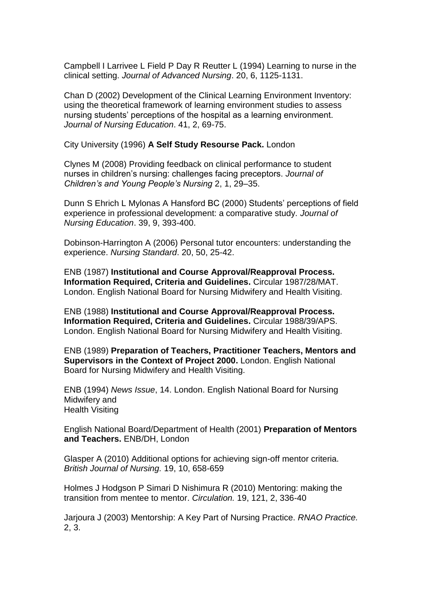Campbell I Larrivee L Field P Day R Reutter L (1994) Learning to nurse in the clinical setting. *Journal of Advanced Nursing*. 20, 6, 1125-1131.

Chan D (2002) Development of the Clinical Learning Environment Inventory: using the theoretical framework of learning environment studies to assess nursing students' perceptions of the hospital as a learning environment. *Journal of Nursing Education*. 41, 2, 69-75.

City University (1996) **A Self Study Resourse Pack.** London

Clynes M (2008) Providing feedback on clinical performance to student nurses in children's nursing: challenges facing preceptors. *Journal of Children's and Young People's Nursing* 2, 1, 29–35.

Dunn S Ehrich L Mylonas A Hansford BC (2000) Students' perceptions of field experience in professional development: a comparative study. *Journal of Nursing Education*. 39, 9, 393-400.

Dobinson-Harrington A (2006) Personal tutor encounters: understanding the experience. *Nursing Standard*. 20, 50, 25-42.

ENB (1987) **Institutional and Course Approval/Reapproval Process. Information Required, Criteria and Guidelines.** Circular 1987/28/MAT. London. English National Board for Nursing Midwifery and Health Visiting.

ENB (1988) **Institutional and Course Approval/Reapproval Process. Information Required, Criteria and Guidelines.** Circular 1988/39/APS. London. English National Board for Nursing Midwifery and Health Visiting.

ENB (1989) **Preparation of Teachers, Practitioner Teachers, Mentors and Supervisors in the Context of Project 2000.** London. English National Board for Nursing Midwifery and Health Visiting.

ENB (1994) *News Issue*, 14. London. English National Board for Nursing Midwifery and Health Visiting

English National Board/Department of Health (2001) **Preparation of Mentors and Teachers.** ENB/DH, London

Glasper A (2010) Additional options for achieving sign-off mentor criteria. *British Journal of Nursing.* 19, 10, 658-659

Holmes J Hodgson P Simari D Nishimura R (2010) Mentoring: making the transition from mentee to mentor. *Circulation.* 19, 121, 2, 336-40

Jarjoura J (2003) Mentorship: A Key Part of Nursing Practice. *RNAO Practice.*  2, 3.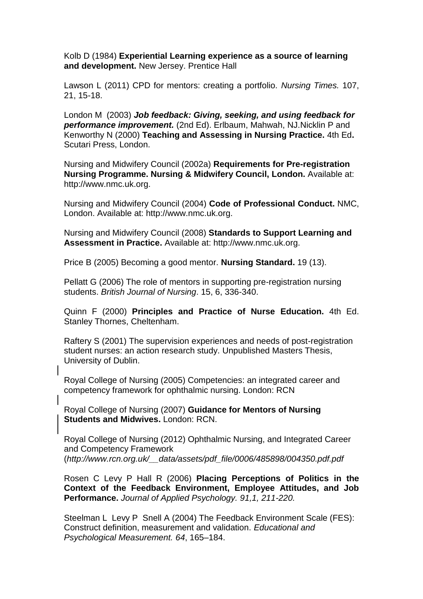Kolb D (1984) **Experiential Learning experience as a source of learning and development.** New Jersey. Prentice Hall

Lawson L (2011) CPD for mentors: creating a portfolio. *Nursing Times.* 107, 21, 15-18.

London M (2003) *Job feedback: Giving, seeking, and using feedback for performance improvement.* (2nd Ed). Erlbaum, Mahwah, NJ[.Nicklin](http://www.sciencedirect.com/science?_ob=ArticleURL&_udi=B6WNX-4CBDC85-1&_user=3350548&_coverDate=07%2F31%2F2004&_alid=499640190&_rdoc=1&_fmt=full&_orig=search&_cdi=6974&_sort=d&_docanchor=&view=c&_acct=C000047819&_version=1&_urlVersion=0&_userid=3350548&md5=8261231ba9f6b1d0983cfbab821638f5#bbib21#bbib21) P and Kenworthy N (2000) **Teaching and Assessing in Nursing Practice.** 4th Ed**.**  Scutari Press, London.

Nursing and Midwifery Council (2002a) **Requirements for Pre-registration Nursing Programme. Nursing & Midwifery Council, London.** Available at: http://www.nmc.uk.org.

Nursing and Midwifery Council (2004) **Code of Professional Conduct.** NMC, London. Available at: http://www.nmc.uk.org.

Nursing and Midwifery Council (2008) **Standards to Support Learning and Assessment in Practice.** Available at: http://www.nmc.uk.org.

Price B (2005) Becoming a good mentor. **Nursing Standard.** 19 (13).

Pellatt G (2006) The role of mentors in supporting pre-registration nursing students. *British Journal of Nursing*. 15, 6, 336-340.

Quinn F (2000) **Principles and Practice of Nurse Education.** 4th Ed. Stanley Thornes, Cheltenham.

Raftery S (2001) The supervision experiences and needs of post-registration student nurses: an action research study. Unpublished Masters Thesis, University of Dublin.

Royal College of Nursing (2005) Competencies: an integrated career and competency framework for ophthalmic nursing. London: RCN

Royal College of Nursing (2007) **Guidance for Mentors of Nursing Students and Midwives.** London: RCN.

Royal College of Nursing (2012) Ophthalmic Nursing, and Integrated Career and Competency Framework (*http://www.rcn.org.uk/\_\_data/assets/pdf\_file/0006/485898/004350.pdf.pdf*

Rosen C Levy P Hall R (2006) **Placing Perceptions of Politics in the Context of the Feedback Environment, Employee Attitudes, and Job Performance.** *Journal of Applied Psychology. 91,1, 211-220.*

Steelman L Levy P Snell A (2004) The Feedback Environment Scale (FES): Construct definition, measurement and validation. *Educational and Psychological Measurement. 64*, 165–184.